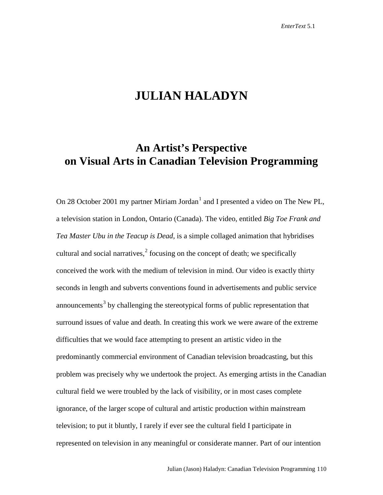## **JULIAN HALADYN**

## **An Artist's Perspective on Visual Arts in Canadian Television Programming**

On 28 October 200[1](#page-11-0) my partner Miriam Jordan<sup>1</sup> and I presented a video on The New PL, a television station in London, Ontario (Canada). The video, entitled *Big Toe Frank and Tea Master Ubu in the Teacup is Dead*, is a simple collaged animation that hybridises cultural and social narratives, $\frac{2}{3}$  $\frac{2}{3}$  $\frac{2}{3}$  focusing on the concept of death; we specifically conceived the work with the medium of television in mind. Our video is exactly thirty seconds in length and subverts conventions found in advertisements and public service announcements<sup>[3](#page-11-2)</sup> by challenging the stereotypical forms of public representation that surround issues of value and death. In creating this work we were aware of the extreme difficulties that we would face attempting to present an artistic video in the predominantly commercial environment of Canadian television broadcasting, but this problem was precisely why we undertook the project. As emerging artists in the Canadian cultural field we were troubled by the lack of visibility, or in most cases complete ignorance, of the larger scope of cultural and artistic production within mainstream television; to put it bluntly, I rarely if ever see the cultural field I participate in represented on television in any meaningful or considerate manner. Part of our intention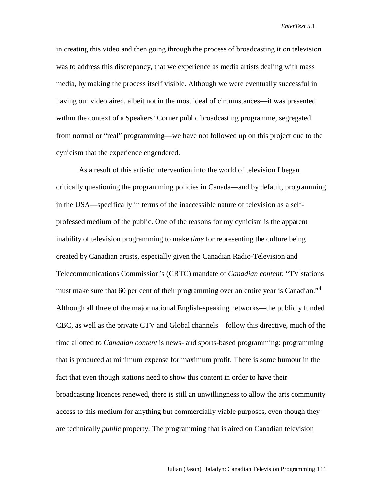in creating this video and then going through the process of broadcasting it on television was to address this discrepancy, that we experience as media artists dealing with mass media, by making the process itself visible. Although we were eventually successful in having our video aired, albeit not in the most ideal of circumstances—it was presented within the context of a Speakers' Corner public broadcasting programme, segregated from normal or "real" programming—we have not followed up on this project due to the cynicism that the experience engendered.

As a result of this artistic intervention into the world of television I began critically questioning the programming policies in Canada—and by default, programming in the USA—specifically in terms of the inaccessible nature of television as a selfprofessed medium of the public. One of the reasons for my cynicism is the apparent inability of television programming to make *time* for representing the culture being created by Canadian artists, especially given the Canadian Radio-Television and Telecommunications Commission's (CRTC) mandate of *Canadian content*: "TV stations must make sure that 60 per cent of their programming over an entire year is Canadian."<sup>[4](#page-11-3)</sup> Although all three of the major national English-speaking networks—the publicly funded CBC, as well as the private CTV and Global channels—follow this directive, much of the time allotted to *Canadian content* is news- and sports-based programming: programming that is produced at minimum expense for maximum profit. There is some humour in the fact that even though stations need to show this content in order to have their broadcasting licences renewed, there is still an unwillingness to allow the arts community access to this medium for anything but commercially viable purposes, even though they are technically *public* property. The programming that is aired on Canadian television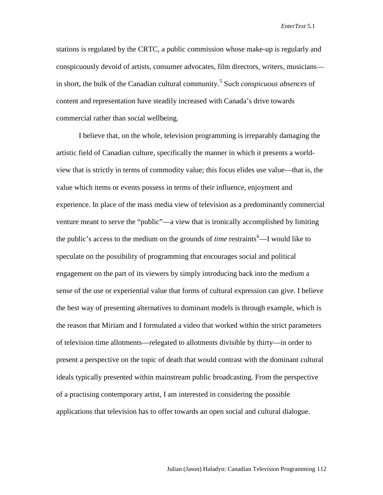stations is regulated by the CRTC, a public commission whose make-up is regularly and conspicuously devoid of artists, consumer advocates, film directors, writers, musicians— in short, the bulk of the Canadian cultural community.<sup>[5](#page-11-4)</sup> Such *conspicuous absences* of content and representation have steadily increased with Canada's drive towards commercial rather than social wellbeing.

I believe that, on the whole, television programming is irreparably damaging the artistic field of Canadian culture, specifically the manner in which it presents a worldview that is strictly in terms of commodity value; this focus elides use value—that is, the value which items or events possess in terms of their influence, enjoyment and experience. In place of the mass media view of television as a predominantly commercial venture meant to serve the "public"—a view that is ironically accomplished by limiting the public's access to the medium on the grounds of *time* restraints<sup>[6](#page-11-5)</sup>—I would like to speculate on the possibility of programming that encourages social and political engagement on the part of its viewers by simply introducing back into the medium a sense of the use or experiential value that forms of cultural expression can give. I believe the best way of presenting alternatives to dominant models is through example, which is the reason that Miriam and I formulated a video that worked within the strict parameters of television time allotments—relegated to allotments divisible by thirty—in order to present a perspective on the topic of death that would contrast with the dominant cultural ideals typically presented within mainstream public broadcasting. From the perspective of a practising contemporary artist, I am interested in considering the possible applications that television has to offer towards an open social and cultural dialogue.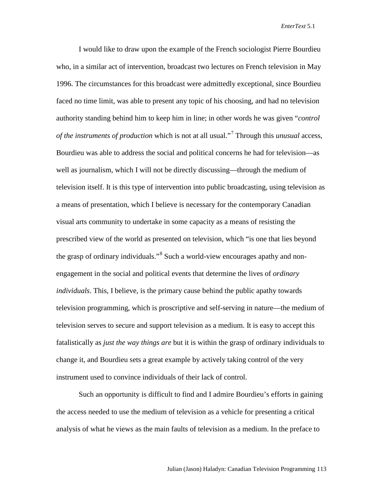I would like to draw upon the example of the French sociologist Pierre Bourdieu who, in a similar act of intervention, broadcast two lectures on French television in May 1996. The circumstances for this broadcast were admittedly exceptional, since Bourdieu faced no time limit, was able to present any topic of his choosing, and had no television authority standing behind him to keep him in line; in other words he was given "*control of the instruments of production* which is not at all usual."[7](#page-12-0) Through this *unusual* access, Bourdieu was able to address the social and political concerns he had for television—as well as journalism, which I will not be directly discussing—through the medium of television itself. It is this type of intervention into public broadcasting, using television as a means of presentation, which I believe is necessary for the contemporary Canadian visual arts community to undertake in some capacity as a means of resisting the prescribed view of the world as presented on television, which "is one that lies beyond the grasp of ordinary individuals."<sup>[8](#page-12-1)</sup> Such a world-view encourages apathy and nonengagement in the social and political events that determine the lives of *ordinary individuals*. This, I believe, is the primary cause behind the public apathy towards television programming, which is proscriptive and self-serving in nature—the medium of television serves to secure and support television as a medium. It is easy to accept this fatalistically as *just the way things are* but it is within the grasp of ordinary individuals to change it, and Bourdieu sets a great example by actively taking control of the very instrument used to convince individuals of their lack of control.

Such an opportunity is difficult to find and I admire Bourdieu's efforts in gaining the access needed to use the medium of television as a vehicle for presenting a critical analysis of what he views as the main faults of television as a medium. In the preface to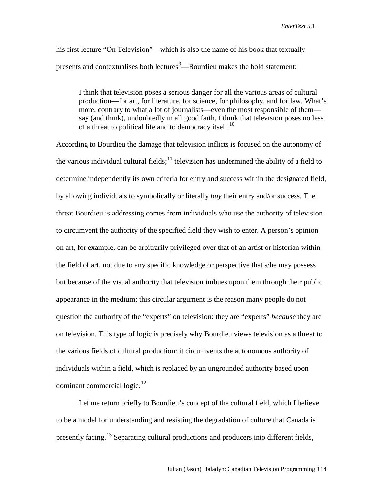his first lecture "On Television"—which is also the name of his book that textually presents and contextualises both lectures<sup>[9](#page-12-2)</sup>—Bourdieu makes the bold statement:

I think that television poses a serious danger for all the various areas of cultural production—for art, for literature, for science, for philosophy, and for law. What's more, contrary to what a lot of journalists—even the most responsible of them say (and think), undoubtedly in all good faith, I think that television poses no less of a threat to political life and to democracy itself.<sup>[10](#page-12-3)</sup>

According to Bourdieu the damage that television inflicts is focused on the autonomy of the various individual cultural fields;<sup>[11](#page-12-4)</sup> television has undermined the ability of a field to determine independently its own criteria for entry and success within the designated field, by allowing individuals to symbolically or literally *buy* their entry and/or success. The threat Bourdieu is addressing comes from individuals who use the authority of television to circumvent the authority of the specified field they wish to enter. A person's opinion on art, for example, can be arbitrarily privileged over that of an artist or historian within the field of art, not due to any specific knowledge or perspective that s/he may possess but because of the visual authority that television imbues upon them through their public appearance in the medium; this circular argument is the reason many people do not question the authority of the "experts" on television: they are "experts" *because* they are on television. This type of logic is precisely why Bourdieu views television as a threat to the various fields of cultural production: it circumvents the autonomous authority of individuals within a field, which is replaced by an ungrounded authority based upon dominant commercial logic.<sup>12</sup>

Let me return briefly to Bourdieu's concept of the cultural field, which I believe to be a model for understanding and resisting the degradation of culture that Canada is presently facing.<sup>[13](#page-12-6)</sup> Separating cultural productions and producers into different fields,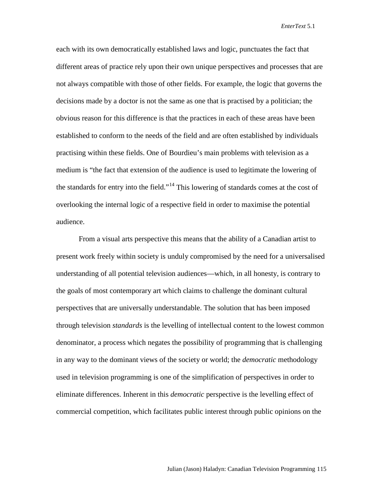each with its own democratically established laws and logic, punctuates the fact that different areas of practice rely upon their own unique perspectives and processes that are not always compatible with those of other fields. For example, the logic that governs the decisions made by a doctor is not the same as one that is practised by a politician; the obvious reason for this difference is that the practices in each of these areas have been established to conform to the needs of the field and are often established by individuals practising within these fields. One of Bourdieu's main problems with television as a medium is "the fact that extension of the audience is used to legitimate the lowering of the standards for entry into the field."<sup>[14](#page-12-7)</sup> This lowering of standards comes at the cost of overlooking the internal logic of a respective field in order to maximise the potential audience.

From a visual arts perspective this means that the ability of a Canadian artist to present work freely within society is unduly compromised by the need for a universalised understanding of all potential television audiences—which, in all honesty, is contrary to the goals of most contemporary art which claims to challenge the dominant cultural perspectives that are universally understandable. The solution that has been imposed through television *standards* is the levelling of intellectual content to the lowest common denominator, a process which negates the possibility of programming that is challenging in any way to the dominant views of the society or world; the *democratic* methodology used in television programming is one of the simplification of perspectives in order to eliminate differences. Inherent in this *democratic* perspective is the levelling effect of commercial competition, which facilitates public interest through public opinions on the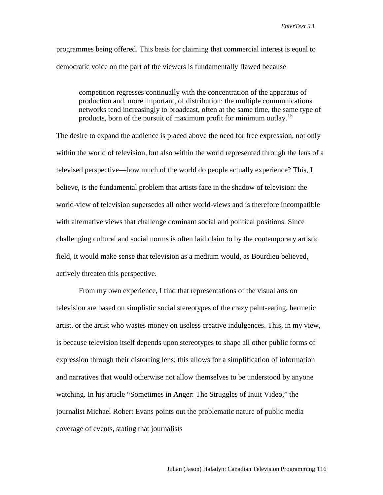programmes being offered. This basis for claiming that commercial interest is equal to democratic voice on the part of the viewers is fundamentally flawed because

competition regresses continually with the concentration of the apparatus of production and, more important, of distribution: the multiple communications networks tend increasingly to broadcast, often at the same time, the same type of products, born of the pursuit of maximum profit for minimum outlay.<sup>[15](#page-12-8)</sup>

The desire to expand the audience is placed above the need for free expression, not only within the world of television, but also within the world represented through the lens of a televised perspective—how much of the world do people actually experience? This, I believe, is the fundamental problem that artists face in the shadow of television: the world-view of television supersedes all other world-views and is therefore incompatible with alternative views that challenge dominant social and political positions. Since challenging cultural and social norms is often laid claim to by the contemporary artistic field, it would make sense that television as a medium would, as Bourdieu believed, actively threaten this perspective.

From my own experience, I find that representations of the visual arts on television are based on simplistic social stereotypes of the crazy paint-eating, hermetic artist, or the artist who wastes money on useless creative indulgences. This, in my view, is because television itself depends upon stereotypes to shape all other public forms of expression through their distorting lens; this allows for a simplification of information and narratives that would otherwise not allow themselves to be understood by anyone watching. In his article "Sometimes in Anger: The Struggles of Inuit Video," the journalist Michael Robert Evans points out the problematic nature of public media coverage of events, stating that journalists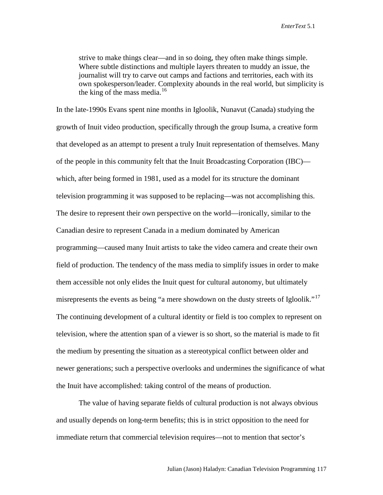strive to make things clear—and in so doing, they often make things simple. Where subtle distinctions and multiple layers threaten to muddy an issue, the journalist will try to carve out camps and factions and territories, each with its own spokesperson/leader. Complexity abounds in the real world, but simplicity is the king of the mass media. $16$ 

In the late-1990s Evans spent nine months in Igloolik, Nunavut (Canada) studying the growth of Inuit video production, specifically through the group Isuma, a creative form that developed as an attempt to present a truly Inuit representation of themselves. Many of the people in this community felt that the Inuit Broadcasting Corporation (IBC) which, after being formed in 1981, used as a model for its structure the dominant television programming it was supposed to be replacing—was not accomplishing this. The desire to represent their own perspective on the world—ironically, similar to the Canadian desire to represent Canada in a medium dominated by American programming—caused many Inuit artists to take the video camera and create their own field of production. The tendency of the mass media to simplify issues in order to make them accessible not only elides the Inuit quest for cultural autonomy, but ultimately misrepresents the events as being "a mere showdown on the dusty streets of Igloolik."<sup>[17](#page-12-10)</sup> The continuing development of a cultural identity or field is too complex to represent on television, where the attention span of a viewer is so short, so the material is made to fit the medium by presenting the situation as a stereotypical conflict between older and newer generations; such a perspective overlooks and undermines the significance of what the Inuit have accomplished: taking control of the means of production.

The value of having separate fields of cultural production is not always obvious and usually depends on long-term benefits; this is in strict opposition to the need for immediate return that commercial television requires—not to mention that sector's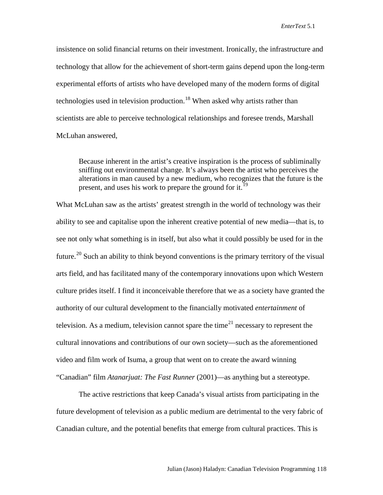insistence on solid financial returns on their investment. Ironically, the infrastructure and technology that allow for the achievement of short-term gains depend upon the long-term experimental efforts of artists who have developed many of the modern forms of digital technologies used in television production.<sup>[18](#page-12-11)</sup> When asked why artists rather than scientists are able to perceive technological relationships and foresee trends, Marshall McLuhan answered,

Because inherent in the artist's creative inspiration is the process of subliminally sniffing out environmental change. It's always been the artist who perceives the alterations in man caused by a new medium, who recognizes that the future is the present, and uses his work to prepare the ground for it.<sup>19</sup>

What McLuhan saw as the artists' greatest strength in the world of technology was their ability to see and capitalise upon the inherent creative potential of new media—that is, to see not only what something is in itself, but also what it could possibly be used for in the future.<sup>[20](#page-12-13)</sup> Such an ability to think beyond conventions is the primary territory of the visual arts field, and has facilitated many of the contemporary innovations upon which Western culture prides itself. I find it inconceivable therefore that we as a society have granted the authority of our cultural development to the financially motivated *entertainment* of television. As a medium, television cannot spare the time<sup>[21](#page-13-0)</sup> necessary to represent the cultural innovations and contributions of our own society—such as the aforementioned video and film work of Isuma, a group that went on to create the award winning "Canadian" film *Atanarjuat: The Fast Runner* (2001)—as anything but a stereotype.

The active restrictions that keep Canada's visual artists from participating in the future development of television as a public medium are detrimental to the very fabric of Canadian culture, and the potential benefits that emerge from cultural practices. This is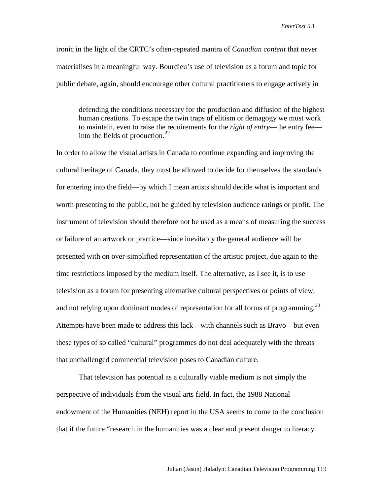ironic in the light of the CRTC's often-repeated mantra of *Canadian content* that never materialises in a meaningful way. Bourdieu's use of television as a forum and topic for public debate, again, should encourage other cultural practitioners to engage actively in

defending the conditions necessary for the production and diffusion of the highest human creations. To escape the twin traps of elitism or demagogy we must work to maintain, even to raise the requirements for the *right of entry*—the entry fee— into the fields of production.<sup>[22](#page-13-1)</sup>

In order to allow the visual artists in Canada to continue expanding and improving the cultural heritage of Canada, they must be allowed to decide for themselves the standards for entering into the field—by which I mean artists should decide what is important and worth presenting to the public, not be guided by television audience ratings or profit. The instrument of television should therefore not be used as a means of measuring the success or failure of an artwork or practice—since inevitably the general audience will be presented with on over-simplified representation of the artistic project, due again to the time restrictions imposed by the medium itself. The alternative, as I see it, is to use television as a forum for presenting alternative cultural perspectives or points of view, and not relying upon dominant modes of representation for all forms of programming.<sup>[23](#page-13-2)</sup> Attempts have been made to address this lack—with channels such as Bravo—but even these types of so called "cultural" programmes do not deal adequately with the threats that unchallenged commercial television poses to Canadian culture.

That television has potential as a culturally viable medium is not simply the perspective of individuals from the visual arts field. In fact, the 1988 National endowment of the Humanities (NEH) report in the USA seems to come to the conclusion that if the future "research in the humanities was a clear and present danger to literacy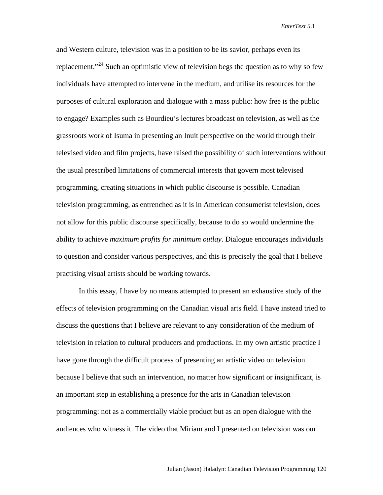and Western culture, television was in a position to be its savior, perhaps even its replacement."<sup>[24](#page-13-3)</sup> Such an optimistic view of television begs the question as to why so few individuals have attempted to intervene in the medium, and utilise its resources for the purposes of cultural exploration and dialogue with a mass public: how free is the public to engage? Examples such as Bourdieu's lectures broadcast on television, as well as the grassroots work of Isuma in presenting an Inuit perspective on the world through their televised video and film projects, have raised the possibility of such interventions without the usual prescribed limitations of commercial interests that govern most televised programming, creating situations in which public discourse is possible. Canadian television programming, as entrenched as it is in American consumerist television, does not allow for this public discourse specifically, because to do so would undermine the ability to achieve *maximum profits for minimum outlay*. Dialogue encourages individuals to question and consider various perspectives, and this is precisely the goal that I believe practising visual artists should be working towards.

In this essay, I have by no means attempted to present an exhaustive study of the effects of television programming on the Canadian visual arts field. I have instead tried to discuss the questions that I believe are relevant to any consideration of the medium of television in relation to cultural producers and productions. In my own artistic practice I have gone through the difficult process of presenting an artistic video on television because I believe that such an intervention, no matter how significant or insignificant, is an important step in establishing a presence for the arts in Canadian television programming: not as a commercially viable product but as an open dialogue with the audiences who witness it. The video that Miriam and I presented on television was our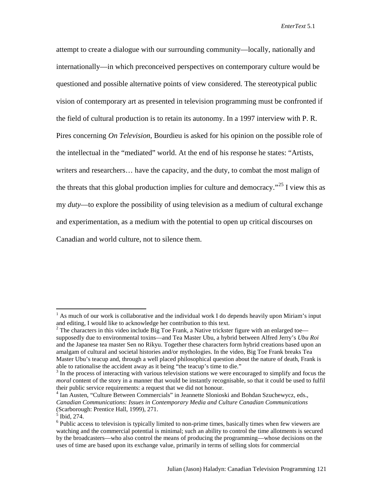attempt to create a dialogue with our surrounding community—locally, nationally and internationally—in which preconceived perspectives on contemporary culture would be questioned and possible alternative points of view considered. The stereotypical public vision of contemporary art as presented in television programming must be confronted if the field of cultural production is to retain its autonomy. In a 1997 interview with P. R. Pires concerning *On Television*, Bourdieu is asked for his opinion on the possible role of the intellectual in the "mediated" world. At the end of his response he states: "Artists, writers and researchers… have the capacity, and the duty, to combat the most malign of the threats that this global production implies for culture and democracy.<sup> $25$ </sup> I view this as my *duty*—to explore the possibility of using television as a medium of cultural exchange and experimentation, as a medium with the potential to open up critical discourses on Canadian and world culture, not to silence them.

<span id="page-11-0"></span><sup>&</sup>lt;sup>1</sup> As much of our work is collaborative and the individual work I do depends heavily upon Miriam's input and editing, I would like to acknowledge her contribution to this text.

<span id="page-11-1"></span><sup>&</sup>lt;sup>2</sup> The characters in this video include Big Toe Frank, a Native trickster figure with an enlarged toe supposedly due to environmental toxins—and Tea Master Ubu, a hybrid between Alfred Jerry's *Ubu Roi* and the Japanese tea master Sen no Rikyu. Together these characters form hybrid creations based upon an amalgam of cultural and societal histories and/or mythologies. In the video, Big Toe Frank breaks Tea Master Ubu's teacup and, through a well placed philosophical question about the nature of death, Frank is able to rationalise the accident away as it being "the teacup's time to die."  $\frac{3}{10}$  In the process of interacting with various television stations we were encouraged to simplify and focus the

<span id="page-11-2"></span>*moral* content of the story in a manner that would be instantly recognisable, so that it could be used to fulfil their public service requirements: a request that we did not honour.<br><sup>4</sup> Ian Austen, "Culture Between Commercials" in Jeannette Slonioski and Bohdan Szuchewycz, eds.,

<span id="page-11-3"></span>*Canadian Communications: Issues in Contemporary Media and Culture Canadian Communications* (Scarborough: Prentice Hall, 1999), 271. <sup>5</sup> Ibid, 274.

<span id="page-11-5"></span><span id="page-11-4"></span><sup>&</sup>lt;sup>6</sup> Public access to television is typically limited to non-prime times, basically times when few viewers are watching and the commercial potential is minimal; such an ability to control the time allotments is secured by the broadcasters—who also control the means of producing the programming—whose decisions on the uses of time are based upon its exchange value, primarily in terms of selling slots for commercial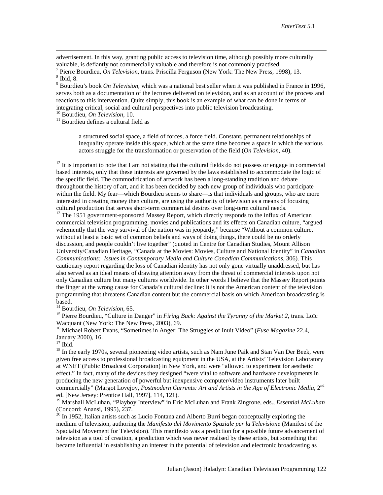advertisement. In this way, granting public access to television time, although possibly more culturally

<span id="page-12-0"></span>valuable, is defiantly not commercially valuable and therefore is not commonly practised.<br>
<sup>7</sup> Pierre Bourdieu, *On Television*, trans. Priscilla Ferguson (New York: The New Press, 1998), 13.<br>
<sup>8</sup> Ibid, 8.<br>
<sup>9</sup> Bourdieu's

<span id="page-12-2"></span><span id="page-12-1"></span>serves both as a documentation of the lectures delivered on television, and as an account of the process and reactions to this intervention. Quite simply, this book is an example of what can be done in terms of integrating critical, social and cultural perspectives into public television broadcasting.<br><sup>10</sup> Bourdieu, *On Television*, 10.<br><sup>11</sup> Bourdieu defines a cultural field as

<span id="page-12-4"></span><span id="page-12-3"></span>

a structured social space, a field of forces, a force field. Constant, permanent relationships of inequality operate inside this space, which at the same time becomes a space in which the various actors struggle for the transformation or preservation of the field (*On Television*, 40).

<span id="page-12-5"></span> $12$  It is important to note that I am not stating that the cultural fields do not possess or engage in commercial based interests, only that these interests are governed by the laws established to accommodate the logic of the specific field. The commodification of artwork has been a long-standing tradition and debate throughout the history of art, and it has been decided by each new group of individuals who participate within the field. My fear—which Bourdieu seems to share—is that individuals and groups, who are more interested in creating money then culture, are using the authority of television as a means of focusing cultural production that serves short-term commercial desires over long-term cultural needs.

<span id="page-12-6"></span><sup>13</sup> The 1951 government-sponsored Massey Report, which directly responds to the influx of American commercial television programming, movies and publications and its effects on Canadian culture, "argued vehemently that the very survival of the nation was in jeopardy," because "Without a common culture, without at least a basic set of common beliefs and ways of doing things, there could be no orderly discussion, and people couldn't live together" (quoted in Centre for Canadian Studies, Mount Allison University/Canadian Heritage, "Canada at the Movies: Movies, Culture and National Identity" in *Canadian Communications: Issues in Contemporary Media and Culture Canadian Communications*, 306). This cautionary report regarding the loss of Canadian identity has not only gone virtually unaddressed, but has also served as an ideal means of drawing attention away from the threat of commercial interests upon not only Canadian culture but many cultures worldwide. In other words I believe that the Massey Report points the finger at the wrong cause for Canada's cultural decline: it is not the American content of the television programming that threatens Canadian content but the commercial basis on which American broadcasting is

based.<br><sup>14</sup> Bourdieu, *On Television*, 65.

<span id="page-12-8"></span><span id="page-12-7"></span><sup>15</sup> Pierre Bourdieu, "Culture in Danger" in *Firing Back: Against the Tyranny of the Market 2*, trans. Loïc Wacquant (New York: The New Press, 2003), 69.

<span id="page-12-9"></span><sup>16</sup> Michael Robert Evans, "Sometimes in Anger: The Struggles of Inuit Video" (*Fuse Magazine* 22.4, January 2000), 16.

<span id="page-12-11"></span>

<span id="page-12-10"></span><sup>17</sup> Ibid. <sup>18</sup> In the early 1970s, several pioneering video artists, such as Nam June Paik and Stan Van Der Beek, were given free access to professional broadcasting equipment in the USA, at the Artists' Television Laboratory at WNET (Public Broadcast Corporation) in New York, and were "allowed to experiment for aesthetic effect." In fact, many of the devices they designed "were vital to software and hardware developments in producing the new generation of powerful but inexpensive computer/video instruments later built commercially" (Margot Lovejoy, Postmodern Currents: Art and Artists in the Age of Electronic Media, 2<sup>nd</sup> ed. [New Jersey: Prentice Hall, 1997], 114, 121).

<span id="page-12-12"></span><sup>19</sup> Marshall McLuhan, "Playboy Interview" in Eric McLuhan and Frank Zingrone, eds., *Essential McLuhan* (Concord: Anansi, 1995), 237.

<span id="page-12-13"></span> $^{20}$  In 1952, Italian artists such as Lucio Fontana and Alberto Burri began conceptually exploring the medium of television, authoring the *Manifesto del Movimento Spaziale per la Televisione* (Manifest of the Spacialist Movement for Television). This manifesto was a prediction for a possible future advancement of television as a tool of creation, a prediction which was never realised by these artists, but something that became influential in establishing an interest in the potential of television and electronic broadcasting as